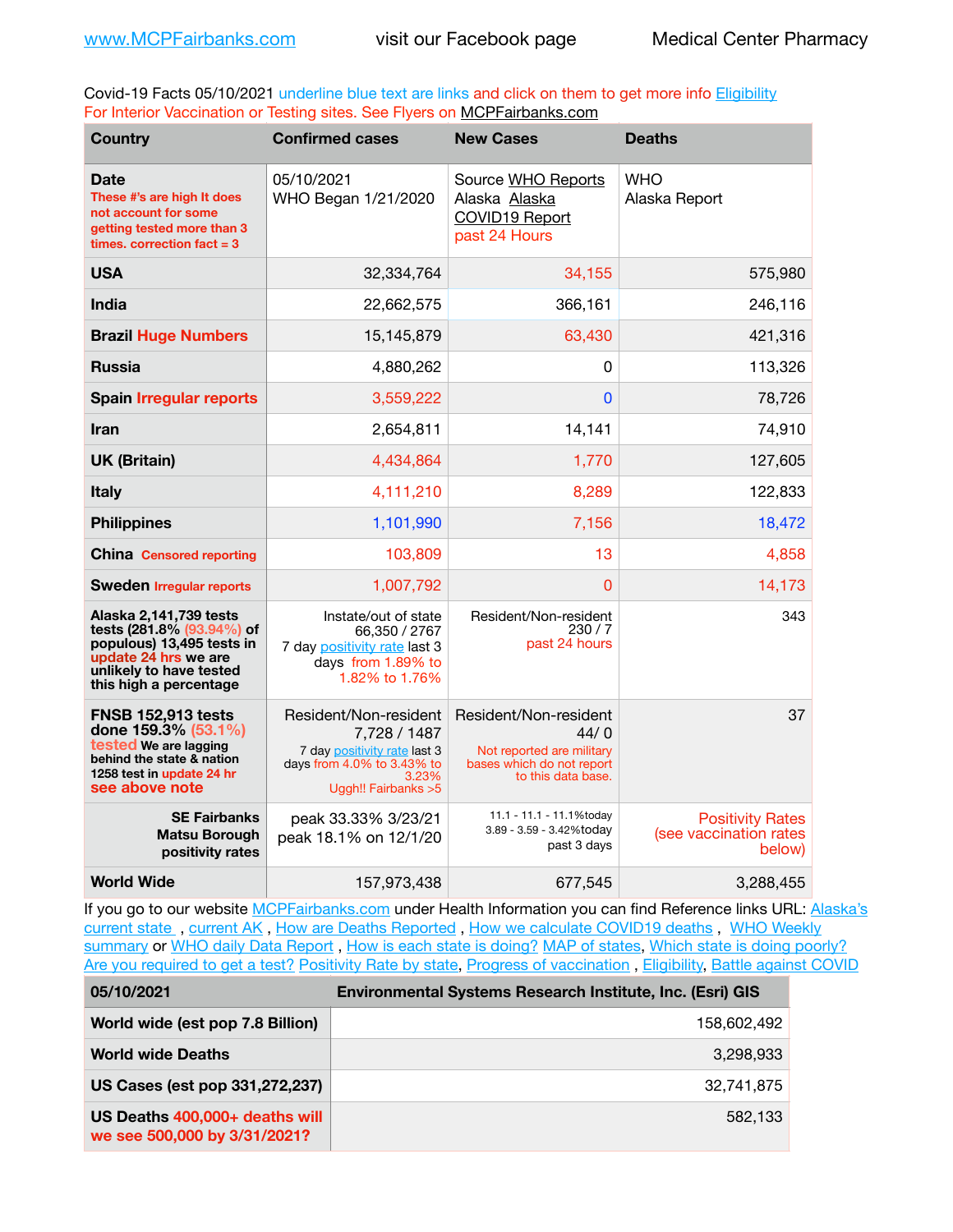Covid-19 Facts 05/10/2021 underline blue text are links and click on them to get more info **Eligibility** For Interior Vaccination or Testing sites. See Flyers on [MCPFairbanks.com](http://www.MCPFairbanks.com)

| <b>Country</b>                                                                                                                                                | <b>Confirmed cases</b>                                                                                                               | <b>New Cases</b>                                                                                              | <b>Deaths</b>                                               |
|---------------------------------------------------------------------------------------------------------------------------------------------------------------|--------------------------------------------------------------------------------------------------------------------------------------|---------------------------------------------------------------------------------------------------------------|-------------------------------------------------------------|
| <b>Date</b><br>These #'s are high It does<br>not account for some<br>getting tested more than 3<br>times. correction $fact = 3$                               | 05/10/2021<br>WHO Began 1/21/2020                                                                                                    | Source WHO Reports<br>Alaska Alaska<br>COVID19 Report<br>past 24 Hours                                        | <b>WHO</b><br>Alaska Report                                 |
| <b>USA</b>                                                                                                                                                    | 32,334,764                                                                                                                           | 34,155                                                                                                        | 575,980                                                     |
| India                                                                                                                                                         | 22,662,575                                                                                                                           | 366,161                                                                                                       | 246,116                                                     |
| <b>Brazil Huge Numbers</b>                                                                                                                                    | 15,145,879                                                                                                                           | 63,430                                                                                                        | 421,316                                                     |
| <b>Russia</b>                                                                                                                                                 | 4,880,262                                                                                                                            | $\Omega$                                                                                                      | 113,326                                                     |
| <b>Spain Irregular reports</b>                                                                                                                                | 3,559,222                                                                                                                            | 0                                                                                                             | 78,726                                                      |
| <b>Iran</b>                                                                                                                                                   | 2,654,811                                                                                                                            | 14,141                                                                                                        | 74,910                                                      |
| <b>UK (Britain)</b>                                                                                                                                           | 4,434,864                                                                                                                            | 1,770                                                                                                         | 127,605                                                     |
| <b>Italy</b>                                                                                                                                                  | 4,111,210                                                                                                                            | 8,289                                                                                                         | 122,833                                                     |
| <b>Philippines</b>                                                                                                                                            | 1,101,990                                                                                                                            | 7,156                                                                                                         | 18,472                                                      |
| <b>China Censored reporting</b>                                                                                                                               | 103,809                                                                                                                              | 13                                                                                                            | 4,858                                                       |
| <b>Sweden Irregular reports</b>                                                                                                                               | 1,007,792                                                                                                                            | 0                                                                                                             | 14,173                                                      |
| Alaska 2,141,739 tests<br>tests (281.8% (93.94%) of<br>populous) 13,495 tests in<br>update 24 hrs we are<br>unlikely to have tested<br>this high a percentage | Instate/out of state<br>66,350 / 2767<br>7 day positivity rate last 3<br>days from 1.89% to<br>1.82% to 1.76%                        | Resident/Non-resident<br>230/7<br>past 24 hours                                                               | 343                                                         |
| <b>FNSB 152,913 tests</b><br>done 159.3% (53.1%)<br>tested We are lagging<br>behind the state & nation<br>1258 test in update 24 hr<br>see above note         | Resident/Non-resident<br>7,728 / 1487<br>7 day positivity rate last 3<br>days from 4.0% to 3.43% to<br>3.23%<br>Uggh!! Fairbanks > 5 | Resident/Non-resident<br>44/0<br>Not reported are military<br>bases which do not report<br>to this data base. | 37                                                          |
| <b>SE Fairbanks</b><br><b>Matsu Borough</b><br>positivity rates                                                                                               | peak 33.33% 3/23/21<br>peak 18.1% on 12/1/20                                                                                         | 11.1 - 11.1 - 11.1%today<br>3.89 - 3.59 - 3.42%today<br>past 3 days                                           | <b>Positivity Rates</b><br>(see vaccination rates<br>below) |
| <b>World Wide</b>                                                                                                                                             | 157,973,438                                                                                                                          | 677,545                                                                                                       | 3,288,455                                                   |

If you go to our website [MCPFairbanks.com](http://www.MCPFairbanks.com) under Health Information you can find Reference links URL: Alaska's [current state](https://coronavirus-response-alaska-dhss.hub.arcgis.com) , [current AK](http://dhss.alaska.gov/dph/Epi/id/Pages/COVID-19/communications.aspx#cases) , [How are Deaths Reported](http://dhss.alaska.gov/dph/Epi/id/Pages/COVID-19/deathcounts.aspx) , [How we calculate COVID19 deaths](https://coronavirus-response-alaska-dhss.hub.arcgis.com/search?collection=Document&groupIds=41ccb3344ebc4bd682c74073eba21f42) , [WHO Weekly](http://www.who.int)  [summary](http://www.who.int) or [WHO daily Data Report](https://covid19.who.int/table), [How is each state is doing?](https://www.msn.com/en-us/news/us/state-by-state-coronavirus-news/ar-BB13E1PX?fbclid=IwAR0_OBJH7lSyTN3ug_MsOeFnNgB1orTa9OBgilKJ7dhnwlVvHEsptuKkj1c) [MAP of states,](https://www.nationalgeographic.com/science/graphics/graphic-tracking-coronavirus-infections-us?cmpid=org=ngp::mc=crm-email::src=ngp::cmp=editorial::add=SpecialEdition_20210305&rid=B9A6DF5992658E8E35CE023113CFEA4C) [Which state is doing poorly?](https://bestlifeonline.com/covid-outbreak-your-state/?utm_source=nsltr&utm_medium=email&utm_content=covid-outbreak-your-state&utm_campaign=launch) [Are you required to get a test?](http://dhss.alaska.gov/dph/Epi/id/SiteAssets/Pages/HumanCoV/Whattodoafteryourtest.pdf) [Positivity Rate by state](https://coronavirus.jhu.edu/testing/individual-states/alaska), Progress of vaccination, [Eligibility,](http://dhss.alaska.gov/dph/Epi/id/Pages/COVID-19/VaccineAvailability.aspx) [Battle against COVID](https://www.nationalgeographic.com/science/graphics/graphic-tracking-coronavirus-infections-us?cmpid=org=ngp::mc=crm-email::src=ngp::cmp=editorial::add=SpecialEdition_20210219&rid=B9A6DF5992658E8E35CE023113CFEA4C)

| 05/10/2021                                                     | Environmental Systems Research Institute, Inc. (Esri) GIS |  |
|----------------------------------------------------------------|-----------------------------------------------------------|--|
| World wide (est pop 7.8 Billion)                               | 158,602,492                                               |  |
| <b>World wide Deaths</b>                                       | 3.298.933                                                 |  |
| US Cases (est pop 331,272,237)                                 | 32.741.875                                                |  |
| US Deaths 400,000+ deaths will<br>we see 500,000 by 3/31/2021? | 582,133                                                   |  |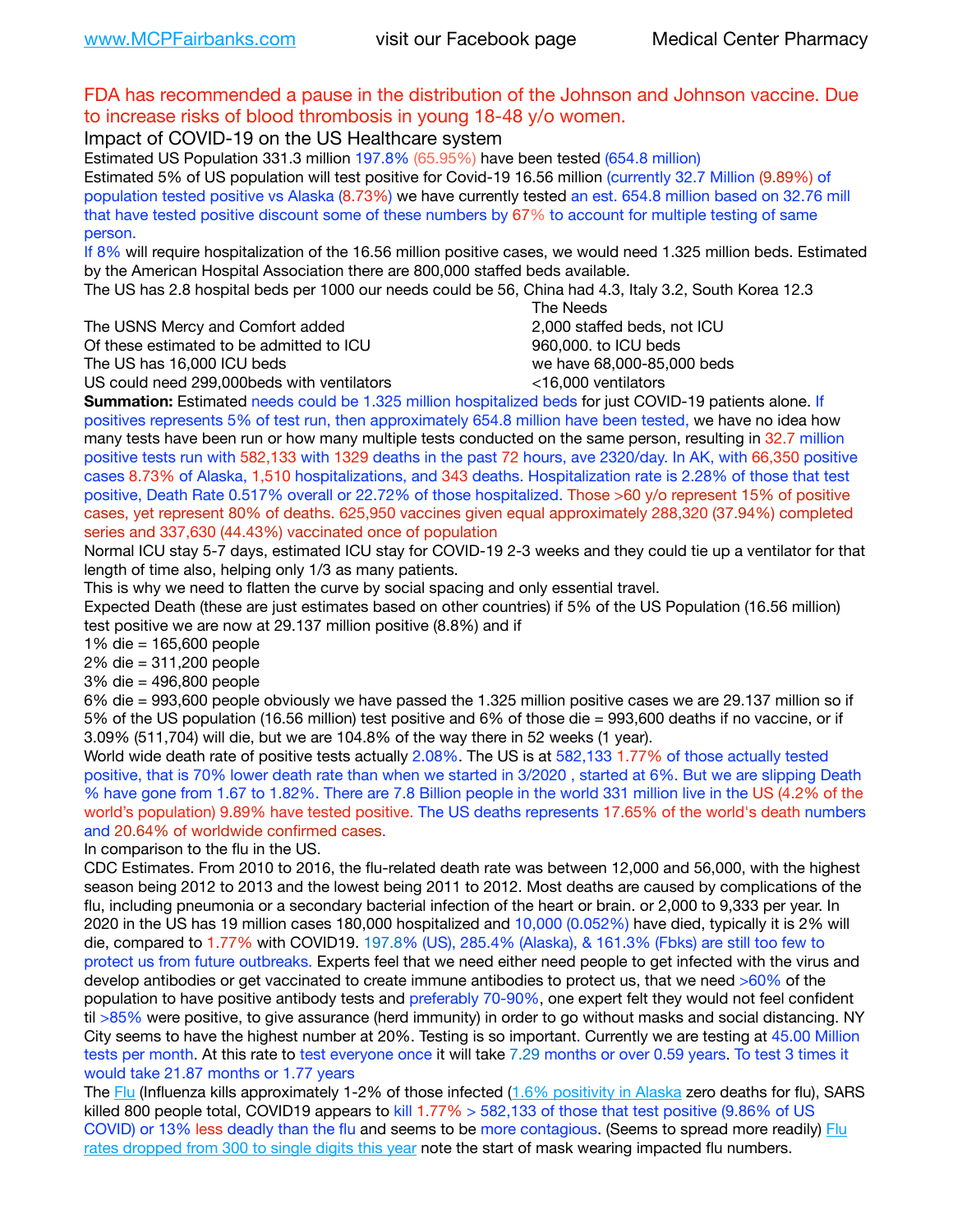## FDA has recommended a pause in the distribution of the Johnson and Johnson vaccine. Due to increase risks of blood thrombosis in young 18-48 y/o women.

Impact of COVID-19 on the US Healthcare system

Estimated US Population 331.3 million 197.8% (65.95%) have been tested (654.8 million) Estimated 5% of US population will test positive for Covid-19 16.56 million (currently 32.7 Million (9.89%) of population tested positive vs Alaska (8.73%) we have currently tested an est. 654.8 million based on 32.76 mill that have tested positive discount some of these numbers by 67% to account for multiple testing of same person.

If 8% will require hospitalization of the 16.56 million positive cases, we would need 1.325 million beds. Estimated by the American Hospital Association there are 800,000 staffed beds available.

The US has 2.8 hospital beds per 1000 our needs could be 56, China had 4.3, Italy 3.2, South Korea 12.3

The USNS Mercy and Comfort added 2,000 staffed beds, not ICU

Of these estimated to be admitted to ICU **860,000**, to ICU beds

 The Needs The US has 16,000 ICU beds we have 68,000-85,000 beds

US could need 299,000 beds with ventilators  $\leq$ 16,000 ventilators

**Summation:** Estimated needs could be 1.325 million hospitalized beds for just COVID-19 patients alone. If positives represents 5% of test run, then approximately 654.8 million have been tested, we have no idea how many tests have been run or how many multiple tests conducted on the same person, resulting in 32.7 million positive tests run with 582,133 with 1329 deaths in the past 72 hours, ave 2320/day. In AK, with 66,350 positive cases 8.73% of Alaska, 1,510 hospitalizations, and 343 deaths. Hospitalization rate is 2.28% of those that test positive, Death Rate 0.517% overall or 22.72% of those hospitalized. Those >60 y/o represent 15% of positive cases, yet represent 80% of deaths. 625,950 vaccines given equal approximately 288,320 (37.94%) completed series and 337,630 (44.43%) vaccinated once of population

Normal ICU stay 5-7 days, estimated ICU stay for COVID-19 2-3 weeks and they could tie up a ventilator for that length of time also, helping only 1/3 as many patients.

This is why we need to flatten the curve by social spacing and only essential travel.

Expected Death (these are just estimates based on other countries) if 5% of the US Population (16.56 million) test positive we are now at 29.137 million positive (8.8%) and if

1% die = 165,600 people

2% die = 311,200 people

3% die = 496,800 people

6% die = 993,600 people obviously we have passed the 1.325 million positive cases we are 29.137 million so if 5% of the US population (16.56 million) test positive and 6% of those die = 993,600 deaths if no vaccine, or if 3.09% (511,704) will die, but we are 104.8% of the way there in 52 weeks (1 year).

World wide death rate of positive tests actually 2.08%. The US is at 582,133 1.77% of those actually tested positive, that is 70% lower death rate than when we started in 3/2020 , started at 6%. But we are slipping Death % have gone from 1.67 to 1.82%. There are 7.8 Billion people in the world 331 million live in the US (4.2% of the world's population) 9.89% have tested positive. The US deaths represents 17.65% of the world's death numbers and 20.64% of worldwide confirmed cases.

In comparison to the flu in the US.

CDC Estimates. From 2010 to 2016, the flu-related death rate was between 12,000 and 56,000, with the highest season being 2012 to 2013 and the lowest being 2011 to 2012. Most deaths are caused by complications of the flu, including pneumonia or a secondary bacterial infection of the heart or brain. or 2,000 to 9,333 per year. In 2020 in the US has 19 million cases 180,000 hospitalized and 10,000 (0.052%) have died, typically it is 2% will die, compared to 1.77% with COVID19. 197.8% (US), 285.4% (Alaska), & 161.3% (Fbks) are still too few to protect us from future outbreaks. Experts feel that we need either need people to get infected with the virus and develop antibodies or get vaccinated to create immune antibodies to protect us, that we need >60% of the population to have positive antibody tests and preferably 70-90%, one expert felt they would not feel confident til >85% were positive, to give assurance (herd immunity) in order to go without masks and social distancing. NY City seems to have the highest number at 20%. Testing is so important. Currently we are testing at 45.00 Million tests per month. At this rate to test everyone once it will take 7.29 months or over 0.59 years. To test 3 times it would take 21.87 months or 1.77 years

The [Flu](https://lnks.gd/l/eyJhbGciOiJIUzI1NiJ9.eyJidWxsZXRpbl9saW5rX2lkIjoxMDMsInVyaSI6ImJwMjpjbGljayIsImJ1bGxldGluX2lkIjoiMjAyMTAyMjYuMzYwNDA3NTEiLCJ1cmwiOiJodHRwczovL3d3dy5jZGMuZ292L2ZsdS93ZWVrbHkvb3ZlcnZpZXcuaHRtIn0.ePMA_hsZ-pTnhWSyg1gHvHWYTu2XceVOt0JejxvP1WE/s/500544915/br/98428119752-l) (Influenza kills approximately 1-2% of those infected ([1.6% positivity in Alaska](http://dhss.alaska.gov/dph/Epi/id/SiteAssets/Pages/influenza/trends/Snapshot.pdf) zero deaths for flu), SARS killed 800 people total, COVID19 appears to kill 1.77% > 582,133 of those that test positive (9.86% of US COVID) or 13% less deadly than the flu and seems to be more contagious. (Seems to spread more readily) Flu [rates dropped from 300 to single digits this year](https://lnks.gd/l/eyJhbGciOiJIUzI1NiJ9.eyJidWxsZXRpbl9saW5rX2lkIjoxMDEsInVyaSI6ImJwMjpjbGljayIsImJ1bGxldGluX2lkIjoiMjAyMTAyMjYuMzYwNDA3NTEiLCJ1cmwiOiJodHRwOi8vZGhzcy5hbGFza2EuZ292L2RwaC9FcGkvaWQvUGFnZXMvaW5mbHVlbnphL2ZsdWluZm8uYXNweCJ9.oOe3nt2fww6XpsNhb4FZfmtPfPa-irGaldpkURBJhSo/s/500544915/br/98428119752-l) note the start of mask wearing impacted flu numbers.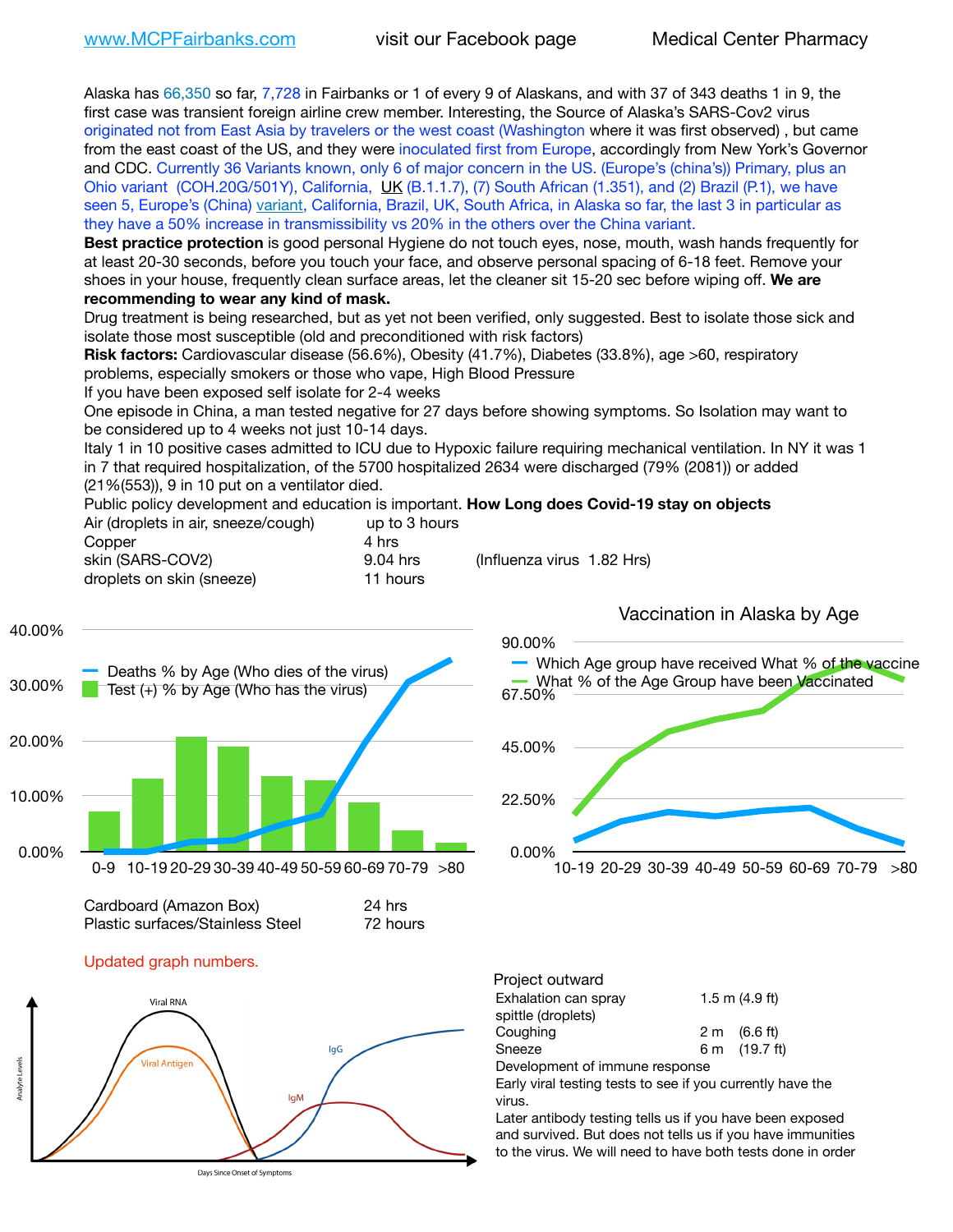Alaska has 66,350 so far, 7,728 in Fairbanks or 1 of every 9 of Alaskans, and with 37 of 343 deaths 1 in 9, the first case was transient foreign airline crew member. Interesting, the Source of Alaska's SARS-Cov2 virus originated not from East Asia by travelers or the west coast (Washington where it was first observed) , but came from the east coast of the US, and they were inoculated first from Europe, accordingly from New York's Governor and CDC. Currently 36 Variants known, only 6 of major concern in the US. (Europe's (china's)) Primary, plus an Ohio variant (COH.20G/501Y), California, [UK](https://www.cdc.gov/coronavirus/2019-ncov/transmission/variant-cases.html) (B.1.1.7), (7) South African (1.351), and (2) Brazil (P.1), we have seen 5, Europe's (China) [variant,](https://www.webmd.com/lung/news/20210318/cdc-who-create-threat-levels-for-covid-variants?ecd=wnl_cvd_031921&ctr=wnl-cvd-031921&mb=kYbf7DsHb7YGjh/1RUkcAW0T6iorImAU1TDZh18RYs0=_Support_titleLink_2) California, Brazil, UK, South Africa, in Alaska so far, the last 3 in particular as they have a 50% increase in transmissibility vs 20% in the others over the China variant.

**Best practice protection** is good personal Hygiene do not touch eyes, nose, mouth, wash hands frequently for at least 20-30 seconds, before you touch your face, and observe personal spacing of 6-18 feet. Remove your shoes in your house, frequently clean surface areas, let the cleaner sit 15-20 sec before wiping off. **We are recommending to wear any kind of mask.**

Drug treatment is being researched, but as yet not been verified, only suggested. Best to isolate those sick and isolate those most susceptible (old and preconditioned with risk factors)

**Risk factors:** Cardiovascular disease (56.6%), Obesity (41.7%), Diabetes (33.8%), age >60, respiratory problems, especially smokers or those who vape, High Blood Pressure

If you have been exposed self isolate for 2-4 weeks

One episode in China, a man tested negative for 27 days before showing symptoms. So Isolation may want to be considered up to 4 weeks not just 10-14 days.

Italy 1 in 10 positive cases admitted to ICU due to Hypoxic failure requiring mechanical ventilation. In NY it was 1 in 7 that required hospitalization, of the 5700 hospitalized 2634 were discharged (79% (2081)) or added (21%(553)), 9 in 10 put on a ventilator died.

Public policy development and education is important. **How Long does Covid-19 stay on objects** Air (droplets in air, sneeze/cough) up to 3 hours Copper 4 hrs

| <b>CODDEL</b>             | 4 111 5  |                            |  |
|---------------------------|----------|----------------------------|--|
| skin (SARS-COV2)          | 9.04 hrs | (Influenza virus 1.82 Hrs) |  |
| droplets on skin (sneeze) | 11 hours |                            |  |



| Cardboard (Amazon Box)           | 24 hrs   |
|----------------------------------|----------|
| Plastic surfaces/Stainless Steel | 72 hours |

Updated graph numbers.



Days Since Onset of Symptoms

Vaccination in Alaska by Age



| Project outward                |  |                        |
|--------------------------------|--|------------------------|
| Exhalation can spray           |  | 1.5 m $(4.9$ ft)       |
| spittle (droplets)             |  |                        |
| Coughing                       |  | $2 \text{ m}$ (6.6 ft) |
| Sneeze                         |  | 6 m (19.7 ft)          |
| Development of immune response |  |                        |
|                                |  |                        |

Early viral testing tests to see if you currently have the virus.

Later antibody testing tells us if you have been exposed and survived. But does not tells us if you have immunities to the virus. We will need to have both tests done in order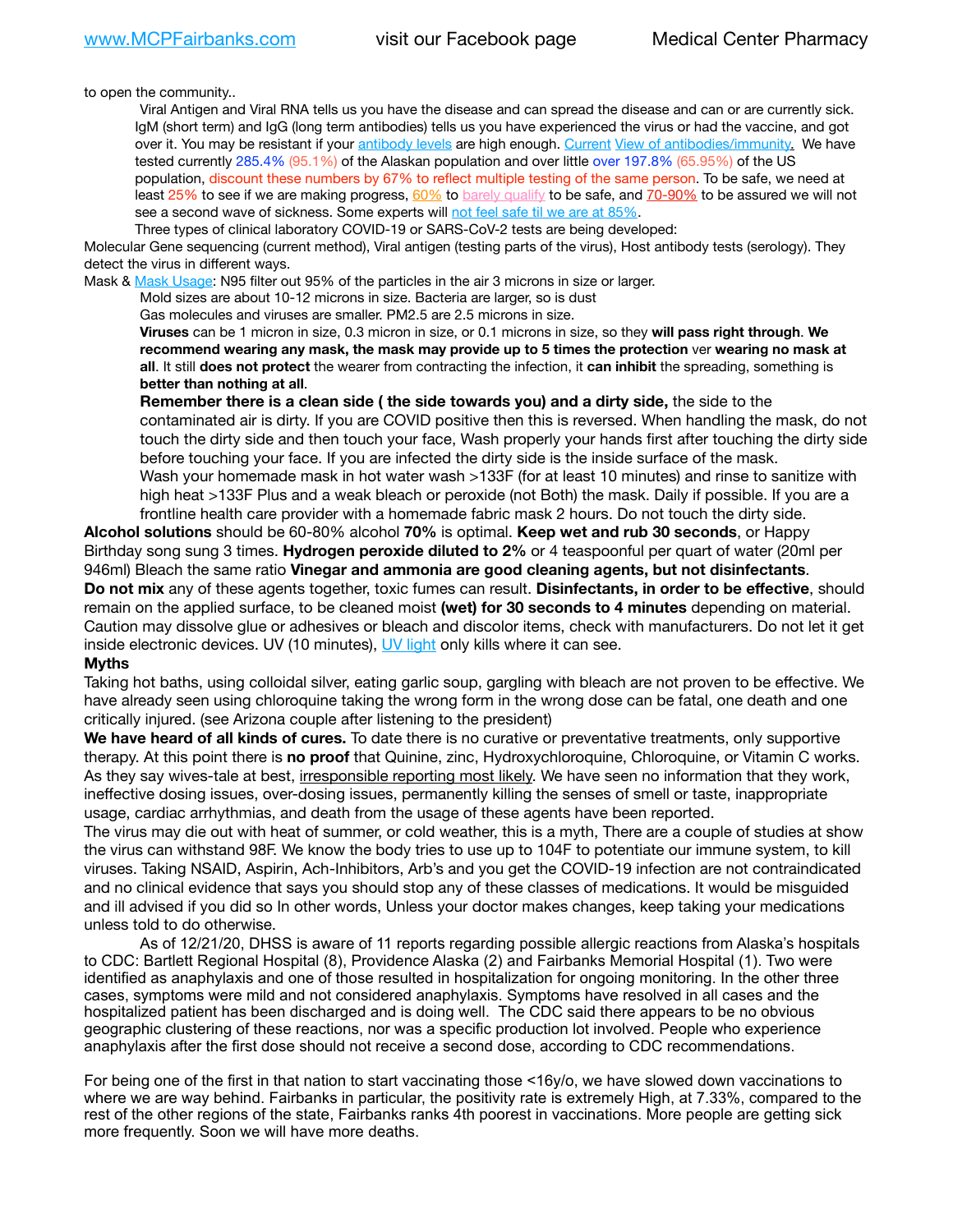to open the community..

Viral Antigen and Viral RNA tells us you have the disease and can spread the disease and can or are currently sick. IgM (short term) and IgG (long term antibodies) tells us you have experienced the virus or had the vaccine, and got over it. You may be resistant if your [antibody levels](https://www.cdc.gov/coronavirus/2019-ncov/lab/resources/antibody-tests.html) are high enough. [Current](https://l.facebook.com/l.php?u=https://www.itv.com/news/2020-10-26/covid-19-antibody-levels-reduce-over-time-study-finds?fbclid=IwAR3Dapzh1qIH1EIOdUQI2y8THf7jfA4KBCaJz8Qg-8xe1YsrR4nsAHDIXSY&h=AT30nut8pkqp0heVuz5W2rT2WFFm-2Ab52BsJxZZCNlGsX58IpPkuVEPULbIUV_M16MAukx1Kwb657DPXxsgDN1rpOQ4gqBtQsmVYiWpnHPJo2RQsU6CPMd14lgLnQnFWxfVi6zvmw&__tn__=-UK-R&c%5B0%5D=AT1GaRAfR_nGAyqcn7TI1-PpvqOqEKXHnz6TDWvRStMnOSH7boQDvTiwTOc6VId9UES6LKiOmm2m88wKCoolkJyOFvakt2Z1Mw8toYWGGoWW23r0MNVBl7cYJXB_UOvGklNHaNnaNr1_S7NhT3BSykNOBg) [View of antibodies/immunity](https://www.livescience.com/antibodies.html)[.](https://www.itv.com/news/2020-10-26/covid-19-antibody-levels-reduce-over-time-study-finds) We have tested currently 285.4% (95.1%) of the Alaskan population and over little over 197.8% (65.95%) of the US population, discount these numbers by 67% to reflect multiple testing of the same person. To be safe, we need at least 25% to see if we are making progress, [60%](https://www.jhsph.edu/covid-19/articles/achieving-herd-immunity-with-covid19.html) to [barely qualify](https://www.nature.com/articles/d41586-020-02948-4) to be safe, and [70-90%](https://www.mayoclinic.org/herd-immunity-and-coronavirus/art-20486808) to be assured we will not see a second wave of sickness. Some experts will [not feel safe til we are at 85%.](https://www.bannerhealth.com/healthcareblog/teach-me/what-is-herd-immunity)

Three types of clinical laboratory COVID-19 or SARS-CoV-2 tests are being developed:

Molecular Gene sequencing (current method), Viral antigen (testing parts of the virus), Host antibody tests (serology). They detect the virus in different ways.

Mask & [Mask Usage:](https://www.nationalgeographic.com/history/2020/03/how-cities-flattened-curve-1918-spanish-flu-pandemic-coronavirus/) N95 filter out 95% of the particles in the air 3 microns in size or larger.

Mold sizes are about 10-12 microns in size. Bacteria are larger, so is dust

Gas molecules and viruses are smaller. PM2.5 are 2.5 microns in size.

**Viruses** can be 1 micron in size, 0.3 micron in size, or 0.1 microns in size, so they **will pass right through**. **We recommend wearing any mask, the mask may provide up to 5 times the protection** ver **wearing no mask at all**. It still **does not protect** the wearer from contracting the infection, it **can inhibit** the spreading, something is **better than nothing at all**.

**Remember there is a clean side ( the side towards you) and a dirty side,** the side to the contaminated air is dirty. If you are COVID positive then this is reversed. When handling the mask, do not touch the dirty side and then touch your face, Wash properly your hands first after touching the dirty side before touching your face. If you are infected the dirty side is the inside surface of the mask. Wash your homemade mask in hot water wash >133F (for at least 10 minutes) and rinse to sanitize with high heat >133F Plus and a weak bleach or peroxide (not Both) the mask. Daily if possible. If you are a frontline health care provider with a homemade fabric mask 2 hours. Do not touch the dirty side.

**Alcohol solutions** should be 60-80% alcohol **70%** is optimal. **Keep wet and rub 30 seconds**, or Happy Birthday song sung 3 times. **Hydrogen peroxide diluted to 2%** or 4 teaspoonful per quart of water (20ml per 946ml) Bleach the same ratio **Vinegar and ammonia are good cleaning agents, but not disinfectants**. **Do not mix** any of these agents together, toxic fumes can result. **Disinfectants, in order to be effective**, should remain on the applied surface, to be cleaned moist **(wet) for 30 seconds to 4 minutes** depending on material. Caution may dissolve glue or adhesives or bleach and discolor items, check with manufacturers. Do not let it get inside electronic devices. UV (10 minutes), [UV light](http://www.docreviews.me/best-uv-boxes-2020/?fbclid=IwAR3bvFtXB48OoBBSvYvTEnKuHNPbipxM6jUo82QUSw9wckxjC7wwRZWabGw) only kills where it can see.

#### **Myths**

Taking hot baths, using colloidal silver, eating garlic soup, gargling with bleach are not proven to be effective. We have already seen using chloroquine taking the wrong form in the wrong dose can be fatal, one death and one critically injured. (see Arizona couple after listening to the president)

**We have heard of all kinds of cures.** To date there is no curative or preventative treatments, only supportive therapy. At this point there is **no proof** that Quinine, zinc, Hydroxychloroquine, Chloroquine, or Vitamin C works. As they say wives-tale at best, *irresponsible reporting most likely*. We have seen no information that they work, ineffective dosing issues, over-dosing issues, permanently killing the senses of smell or taste, inappropriate usage, cardiac arrhythmias, and death from the usage of these agents have been reported.

The virus may die out with heat of summer, or cold weather, this is a myth, There are a couple of studies at show the virus can withstand 98F. We know the body tries to use up to 104F to potentiate our immune system, to kill viruses. Taking NSAID, Aspirin, Ach-Inhibitors, Arb's and you get the COVID-19 infection are not contraindicated and no clinical evidence that says you should stop any of these classes of medications. It would be misguided and ill advised if you did so In other words, Unless your doctor makes changes, keep taking your medications unless told to do otherwise.

As of 12/21/20, DHSS is aware of 11 reports regarding possible allergic reactions from Alaska's hospitals to CDC: Bartlett Regional Hospital (8), Providence Alaska (2) and Fairbanks Memorial Hospital (1). Two were identified as anaphylaxis and one of those resulted in hospitalization for ongoing monitoring. In the other three cases, symptoms were mild and not considered anaphylaxis. Symptoms have resolved in all cases and the hospitalized patient has been discharged and is doing well. The CDC said there appears to be no obvious geographic clustering of these reactions, nor was a specific production lot involved. People who experience anaphylaxis after the first dose should not receive a second dose, according to CDC recommendations.

For being one of the first in that nation to start vaccinating those <16y/o, we have slowed down vaccinations to where we are way behind. Fairbanks in particular, the positivity rate is extremely High, at 7.33%, compared to the rest of the other regions of the state, Fairbanks ranks 4th poorest in vaccinations. More people are getting sick more frequently. Soon we will have more deaths.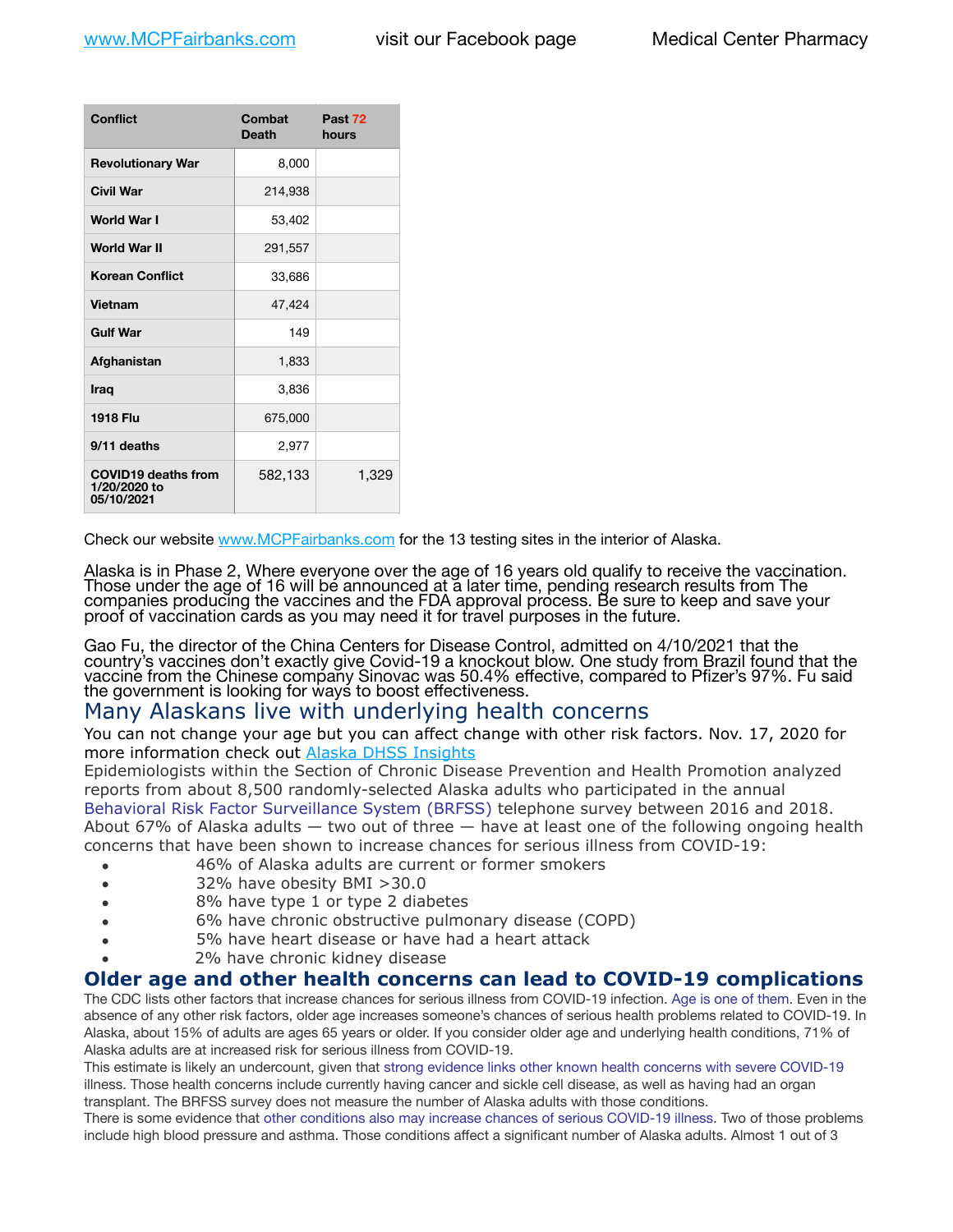| <b>Conflict</b>                                          | Combat<br><b>Death</b> | Past 72<br>hours |
|----------------------------------------------------------|------------------------|------------------|
| <b>Revolutionary War</b>                                 | 8,000                  |                  |
| Civil War                                                | 214,938                |                  |
| <b>World War I</b>                                       | 53,402                 |                  |
| <b>World War II</b>                                      | 291,557                |                  |
| <b>Korean Conflict</b>                                   | 33,686                 |                  |
| <b>Vietnam</b>                                           | 47,424                 |                  |
| <b>Gulf War</b>                                          | 149                    |                  |
| Afghanistan                                              | 1,833                  |                  |
| <b>Iraq</b>                                              | 3,836                  |                  |
| <b>1918 Flu</b>                                          | 675,000                |                  |
| 9/11 deaths                                              | 2,977                  |                  |
| <b>COVID19 deaths from</b><br>1/20/2020 to<br>05/10/2021 | 582,133                | 1,329            |

Check our website [www.MCPFairbanks.com](http://www.MCPFairbanks.com) for the 13 testing sites in the interior of Alaska.

Alaska is in Phase 2, Where everyone over the age of 16 years old qualify to receive the vaccination. Those under the age of 16 will be announced at a later time, pending research results from The companies producing the vaccines and the FDA approval process. Be sure to keep and save your proof of vaccination cards as you may need it for travel purposes in the future.

Gao Fu, the director of the China Centers for Disease Control, admitted on 4/10/2021 that the country's vaccines don't exactly give Covid-19 a knockout blow. One study from Brazil found that the vaccine from the Chinese company Sinovac was 50.4% effective, compared to Pfizer's 97%. Fu said the government is looking for ways to boost effectiveness.

# Many Alaskans live with underlying health concerns

You can not change your age but you can affect change with other risk factors. Nov. 17, 2020 for more information check out **[Alaska DHSS Insights](http://dhss.alaska.gov/dph/Epi/id/Pages/COVID-19/blog/20201117.aspx)** 

Epidemiologists within the Section of Chronic Disease Prevention and Health Promotion analyzed reports from about 8,500 randomly-selected Alaska adults who participated in the annual [Behavioral Risk Factor Surveillance System \(BRFSS\)](http://dhss.alaska.gov/dph/Chronic/Pages/brfss/default.aspx) telephone survey between 2016 and 2018. About 67% of Alaska adults — two out of three — have at least one of the following ongoing health concerns that have been shown to increase chances for serious illness from COVID-19:

- 46% of Alaska adults are current or former smokers
- 32% have obesity BMI >30.0
- 8% have type 1 or type 2 diabetes
- 6% have chronic obstructive pulmonary disease (COPD)
- 5% have heart disease or have had a heart attack
- 2% have chronic kidney disease

## **Older age and other health concerns can lead to COVID-19 complications**

The CDC lists other factors that increase chances for serious illness from COVID-19 infection. [Age is one of them](https://www.cdc.gov/coronavirus/2019-ncov/need-extra-precautions/older-adults.html). Even in the absence of any other risk factors, older age increases someone's chances of serious health problems related to COVID-19. In Alaska, about 15% of adults are ages 65 years or older. If you consider older age and underlying health conditions, 71% of Alaska adults are at increased risk for serious illness from COVID-19.

This estimate is likely an undercount, given that [strong evidence links other known health concerns with severe COVID-19](https://www.cdc.gov/coronavirus/2019-ncov/need-extra-precautions/people-with-medical-conditions.html) illness. Those health concerns include currently having cancer and sickle cell disease, as well as having had an organ transplant. The BRFSS survey does not measure the number of Alaska adults with those conditions.

There is some evidence that [other conditions also may increase chances of serious COVID-19 illness](https://www.cdc.gov/coronavirus/2019-ncov/need-extra-precautions/evidence-table.html). Two of those problems include high blood pressure and asthma. Those conditions affect a significant number of Alaska adults. Almost 1 out of 3